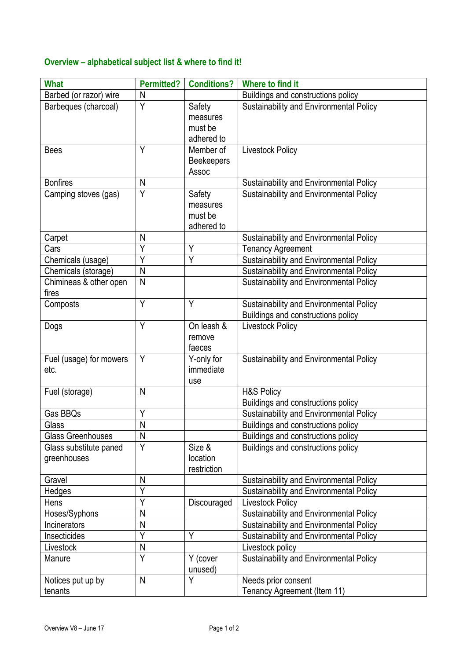## **Overview – alphabetical subject list & where to find it!**

| <b>What</b>                           | <b>Permitted?</b> | <b>Conditions?</b>                          | Where to find it                                            |
|---------------------------------------|-------------------|---------------------------------------------|-------------------------------------------------------------|
| Barbed (or razor) wire                | N                 |                                             | Buildings and constructions policy                          |
| Barbeques (charcoal)                  | Y                 | Safety<br>measures<br>must be<br>adhered to | Sustainability and Environmental Policy                     |
| <b>Bees</b>                           | Y                 | Member of<br><b>Beekeepers</b><br>Assoc     | <b>Livestock Policy</b>                                     |
| <b>Bonfires</b>                       | N                 |                                             | Sustainability and Environmental Policy                     |
| Camping stoves (gas)                  | Y                 | Safety<br>measures<br>must be<br>adhered to | Sustainability and Environmental Policy                     |
| Carpet                                | N                 |                                             | Sustainability and Environmental Policy                     |
| Cars                                  | $\overline{Y}$    | Y                                           | <b>Tenancy Agreement</b>                                    |
| Chemicals (usage)                     | Y                 | Y                                           | Sustainability and Environmental Policy                     |
| Chemicals (storage)                   | ${\sf N}$         |                                             | Sustainability and Environmental Policy                     |
| Chimineas & other open<br>fires       | N                 |                                             | Sustainability and Environmental Policy                     |
| Composts                              | Y                 | Y                                           | Sustainability and Environmental Policy                     |
|                                       |                   |                                             | Buildings and constructions policy                          |
| Dogs                                  | Y                 | On leash &<br>remove<br>faeces              | <b>Livestock Policy</b>                                     |
| Fuel (usage) for mowers<br>etc.       | Y                 | Y-only for<br>immediate<br>use              | Sustainability and Environmental Policy                     |
| Fuel (storage)                        | N                 |                                             | <b>H&amp;S Policy</b><br>Buildings and constructions policy |
| Gas BBQs                              | Y                 |                                             | Sustainability and Environmental Policy                     |
| Glass                                 | ${\sf N}$         |                                             | Buildings and constructions policy                          |
| <b>Glass Greenhouses</b>              | N                 |                                             | Buildings and constructions policy                          |
| Glass substitute paned<br>greenhouses | Y                 | Size &<br>location<br>restriction           | Buildings and constructions policy                          |
| Gravel                                | N                 |                                             | Sustainability and Environmental Policy                     |
| Hedges                                | Ý                 |                                             | Sustainability and Environmental Policy                     |
| Hens                                  | Y                 | Discouraged                                 | <b>Livestock Policy</b>                                     |
| Hoses/Syphons                         | N                 |                                             | Sustainability and Environmental Policy                     |
| Incinerators                          | N                 |                                             | Sustainability and Environmental Policy                     |
| Insecticides                          | Y                 | Y                                           | Sustainability and Environmental Policy                     |
| Livestock                             | N                 |                                             | Livestock policy                                            |
| Manure                                | $\overline{Y}$    | Y (cover<br>unused)                         | Sustainability and Environmental Policy                     |
| Notices put up by<br>tenants          | $\mathsf{N}$      | Y                                           | Needs prior consent<br>Tenancy Agreement (Item 11)          |